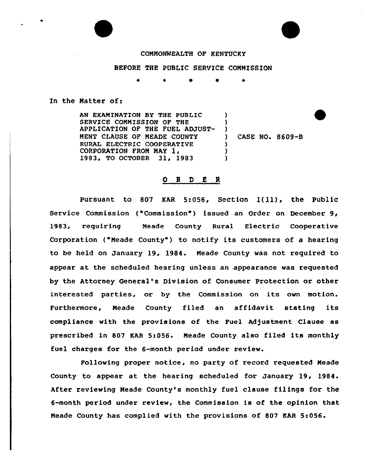## COMMONWEALTH OF KENTUCKY

## BEFORE THE PUBLIC SERVICE CONNISSION

## In the Natter of:

AN EXAMINATION BY THE PUBLIC  $\mathcal{L}$ SERVICE COMMISSION OF THE Y. APPLICATION OF THE FUEL ADJUST-)<br>) NENT CLAUSE OF NEADE COUNTY ) CASE NO. 8609-B RURAL ELECTRIC COOPERATIVE ) CORPORATION FROM MAY 1, ) 1983, TO OCTOBER 31, 1983 )

## 0 I <sup>D</sup> <sup>8</sup> <sup>R</sup>

Pursuant to 807 KAR 5:056, Section  $l(11)$ , the Public Service Commission ("Commission") issued an Order on December 9, 1983, requiring Neade County Rural Electric Cooperative Corporation ("Meade County") to notify its customers of a hearing to be held on January 19, 1984. Neade County was not required to appear at the scheduled hearing unless an appearance was requested by the Attorney General's Division of Consumer Protection or other interested parties, or by the Commission on its own motion. Furthermore, Neade County filed an affidavit stating its compliance with the provisions of the Fuel Adjustment Clause as prescribed in 807 KAR 5:056. Meade County also filed its monthly fuel charges for the 6-month period under review.

Following proper notice, no party of record requested Neade County to appear at the hearing scheduled for January 19, 1984. After reviewing Neade County's monthly fuel clause filings for the 6-month period under review, the Commission is of the opinion that Meade County has complied with the provisions of 807 KAR 5:056.